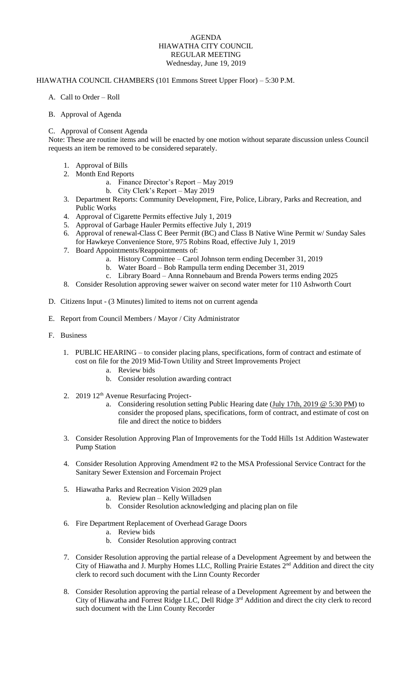## AGENDA HIAWATHA CITY COUNCIL REGULAR MEETING Wednesday, June 19, 2019

## HIAWATHA COUNCIL CHAMBERS (101 Emmons Street Upper Floor) – 5:30 P.M.

- A. Call to Order Roll
- B. Approval of Agenda

## C. Approval of Consent Agenda

Note: These are routine items and will be enacted by one motion without separate discussion unless Council requests an item be removed to be considered separately.

- 1. Approval of Bills
- 2. Month End Reports
	- a. Finance Director's Report May 2019
		- b. City Clerk's Report May 2019
- 3. Department Reports: Community Development, Fire, Police, Library, Parks and Recreation, and Public Works
- 4. Approval of Cigarette Permits effective July 1, 2019
- 5. Approval of Garbage Hauler Permits effective July 1, 2019
- 6. Approval of renewal-Class C Beer Permit (BC) and Class B Native Wine Permit w/ Sunday Sales
- for Hawkeye Convenience Store, 975 Robins Road, effective July 1, 2019
- 7. Board Appointments/Reappointments of:
	- a. History Committee Carol Johnson term ending December 31, 2019
	- b. Water Board Bob Rampulla term ending December 31, 2019
	- c. Library Board Anna Ronnebaum and Brenda Powers terms ending 2025
- 8. Consider Resolution approving sewer waiver on second water meter for 110 Ashworth Court
- D. Citizens Input (3 Minutes) limited to items not on current agenda
- E. Report from Council Members / Mayor / City Administrator
- F. Business
	- 1. PUBLIC HEARING to consider placing plans, specifications, form of contract and estimate of cost on file for the 2019 Mid-Town Utility and Street Improvements Project
		- a. Review bids
		- b. Consider resolution awarding contract
	- 2. 2019 12<sup>th</sup> Avenue Resurfacing Project
		- a. Considering resolution setting Public Hearing date [\(July 17th, 2019 @ 5:30 PM\)](x-apple-data-detectors://2/) to consider the proposed plans, specifications, form of contract, and estimate of cost on file and direct the notice to bidders
	- 3. Consider Resolution Approving Plan of Improvements for the Todd Hills 1st Addition Wastewater Pump Station
	- 4. Consider Resolution Approving Amendment #2 to the MSA Professional Service Contract for the Sanitary Sewer Extension and Forcemain Project
	- 5. Hiawatha Parks and Recreation Vision 2029 plan
		- a. Review plan Kelly Willadsen
		- b. Consider Resolution acknowledging and placing plan on file
	- 6. Fire Department Replacement of Overhead Garage Doors
		- a. Review bids
			- b. Consider Resolution approving contract
	- 7. Consider Resolution approving the partial release of a Development Agreement by and between the City of Hiawatha and J. Murphy Homes LLC, Rolling Prairie Estates 2nd Addition and direct the city clerk to record such document with the Linn County Recorder
	- 8. Consider Resolution approving the partial release of a Development Agreement by and between the City of Hiawatha and Forrest Ridge LLC, Dell Ridge 3<sup>rd</sup> Addition and direct the city clerk to record such document with the Linn County Recorder